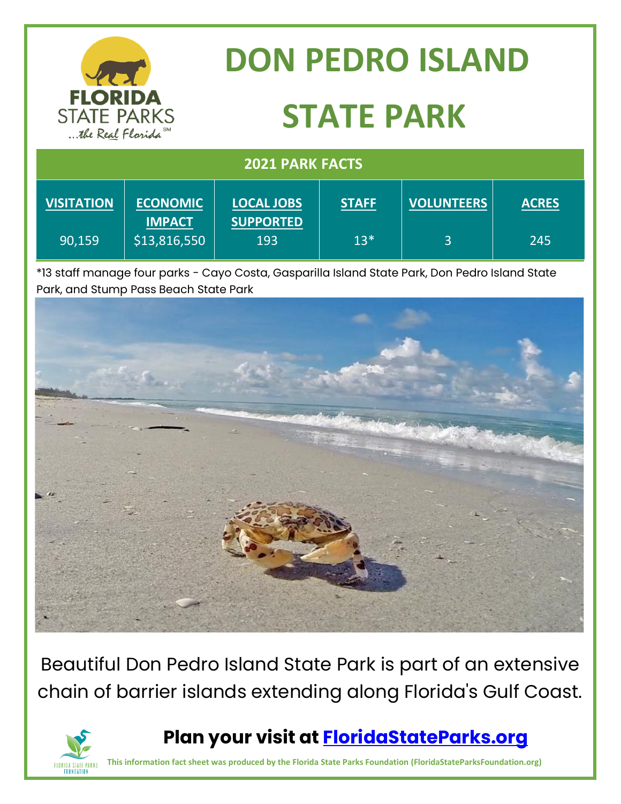|                                                                        |                                  | <b>DON PEDRO ISLAND</b>               |              |                   |              |
|------------------------------------------------------------------------|----------------------------------|---------------------------------------|--------------|-------------------|--------------|
| <b>FLORIDA</b><br><b>STATE PARKS</b><br>the Real Florida <sup>SM</sup> |                                  | <b>STATE PARK</b>                     |              |                   |              |
| <b>2021 PARK FACTS</b>                                                 |                                  |                                       |              |                   |              |
| <b>VISITATION</b>                                                      | <b>ECONOMIC</b><br><b>IMPACT</b> | <b>LOCAL JOBS</b><br><b>SUPPORTED</b> | <b>STAFF</b> | <b>VOLUNTEERS</b> | <b>ACRES</b> |
| 90,159                                                                 | \$13,816,550                     | 193                                   | $13*$        | 3                 | 245          |

\*13 staff manage four parks - Cayo Costa, Gasparilla Island State Park, Don Pedro Island State Park, and Stump Pass Beach State Park



Beautiful Don Pedro Island State Park is part of an extensive chain of barrier islands extending along Florida's Gulf Coast.



**This information fact sheet was produced by the Florida State Parks Foundation (FloridaStateParksFoundation.org)**

**FINRINA STATE PARKS** FOUNDATION